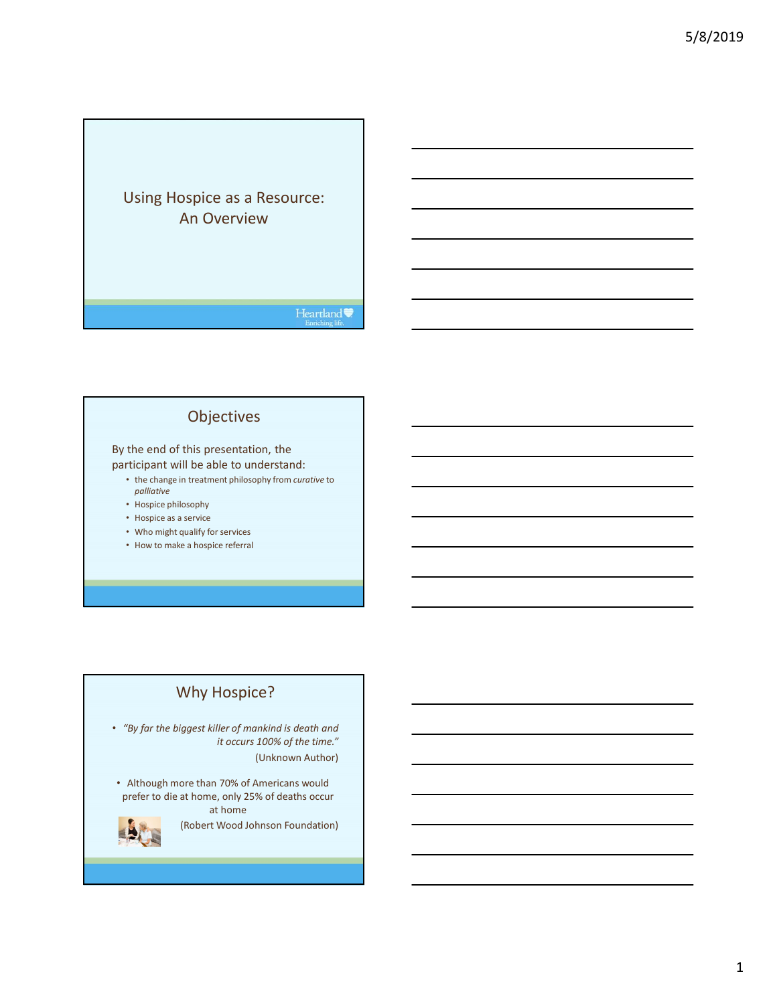## Using Hospice as a Resource: An Overview

#### Heartland

## Objectives

#### By the end of this presentation, the participant will be able to understand:

• the change in treatment philosophy from curative to

- palliative
- Hospice philosophy
- Hospice as a service
- Who might qualify for services
- How to make a hospice referral

## Why Hospice?

• "By far the biggest killer of mankind is death and it occurs 100% of the time."

(Unknown Author)

• Although more than 70% of Americans would prefer to die at home, only 25% of deaths occur at home



(Robert Wood Johnson Foundation)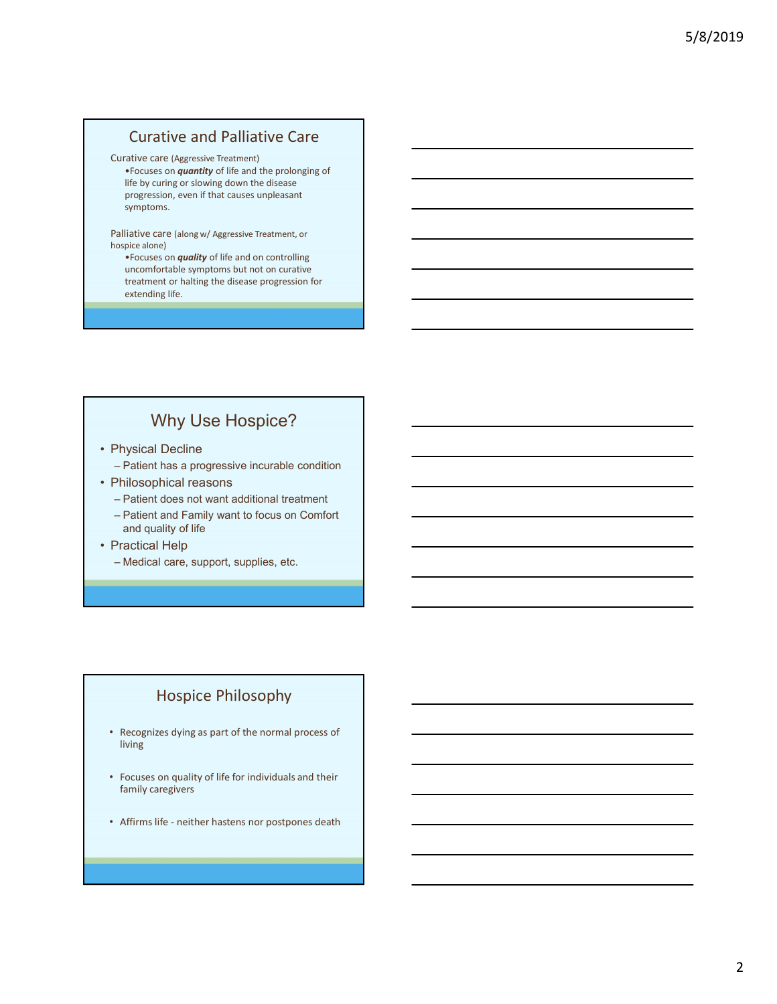#### Curative and Palliative Care

#### Curative care (Aggressive Treatment)

•Focuses on quantity of life and the prolonging of life by curing or slowing down the disease progression, even if that causes unpleasant symptoms. Curative and Palliative Care<br>
Externe Care (Aggressive Treatment)<br>
Frocuses on *quantity* of life and the prolonging of<br>
fire by curing or siowing down the disease<br>
progression, over if that causes unpleasant<br>
symptoms.<br>
s Curative and Palliative Care<br>
Curative care (Aggressive Treatment)<br>
• Focuses on *quantity* of life and the prolonging of<br>
life by curing or siowing down the disease<br>
progression, even if that causes unpleasant<br>
symptoms.<br> Curative and Palliative Care<br>
"Focuses on *quantity* of life and the prolonging of<br>
life by curing or slowing down the disease<br>
progression, even if that causes unpleasant<br>
symptoms.<br>
Somete along w/ Aggressive Treatment, Curative care (Aggressive Treatment)<br>
• Frocuses on quantity of life and the prolonging of<br>
iffe by curing or slowing down the disease<br>
progression, even if that causes unpleasant<br>
symptoms.<br>
• Philosophical reason quality Focuses on *quantity* of life and the prolonging of<br>
life by curing or slowing down the disase<br>
progression, even if that causes unpleasant<br>
symptoms.<br>
scribes on *quality* of life and on controlling<br>
uncomfortable symptom

Palliative care (along w/ Aggressive Treatment, or hospice alone)

•Focuses on *quality* of life and on controlling treatment or halting the disease progression for extending life. From the by complete and provide device and provide completes and spreading propression, even if that causes unpleasant<br>
symptoms.<br>
Similative care (along w/ Aggressive Treatment, or<br>
"Focuses on **quality** of life and on c Palliative care (slong w/ Aggressive Treatment, or<br>
hospice alone)<br>
• Focuses on *quality* of life and on controlling<br>
• uncomfortable symptoms but not on curative<br>
treatment or holting the disease progression for<br>
extendi Malitative care (long w/ Aggressive Treatment, or<br>
"Focuses on quality of life and on controlling<br>
"uncomfortable symptoms but not on curative<br>
treatment or halting the disease progression for<br>
extending life.<br>
"Why Use Ho

## Why Use Hospice?

- -
- -
	- and quality of life • Affirms life - neither hastens nor postpones death<br>
	and quality of life postpones are popert, supplies, etc.<br>
	• Medical care, support, supplies, etc.<br>
	• Mospice Philosophy<br>
	• Recognizes dying as part of the normal proces
- -

#### Hospice Philosophy

- Recognizes dying as part of the normal process of living
- Focuses on quality of life for individuals and their family caregivers
-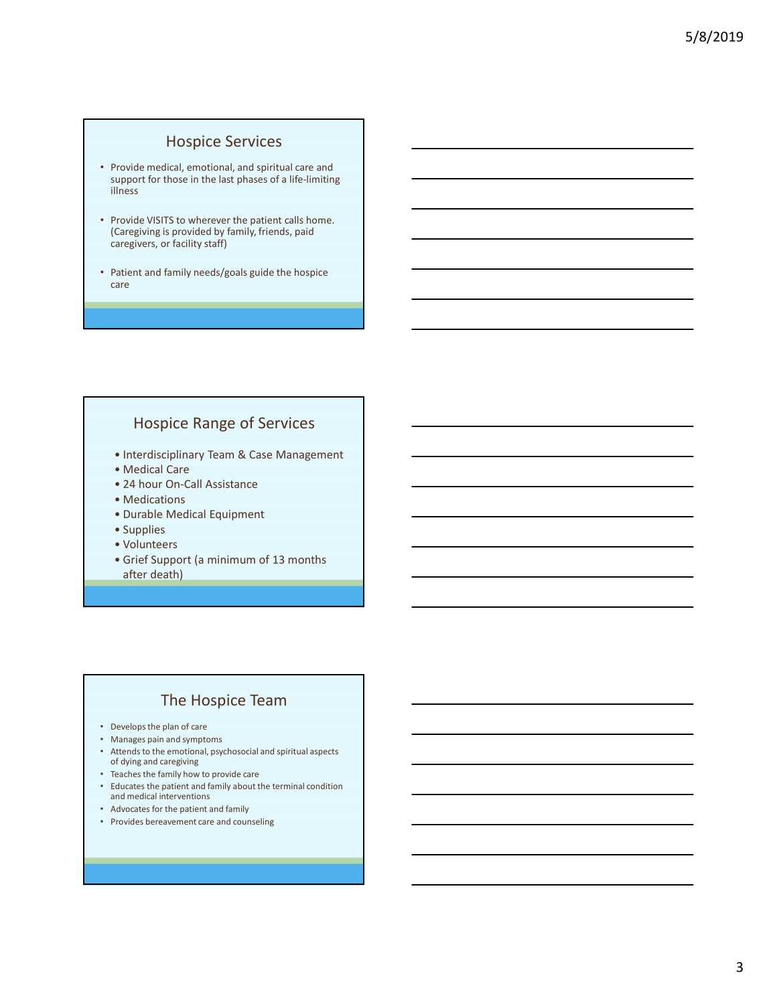#### Hospice Services

- Provide medical, emotional, and spiritual care and support for those in the last phases of a life-limiting illness **HOSPICE Services**<br>
• Provide medical, emotional, and spiritual care and<br>
HIRESS<br>
• Interdiscipling is provided by family, friends, paid<br>
Caregiving is provided by family, friends, paid<br>
aregivers, or facility staff)<br>
• Th Provide medical, emotional, and spiritual care and<br>
upport for those in the last phases of a life-limiting<br>
Merovide VSITS to wherever the patient calls home.<br>
Caregiving is provided by family, friends, paid<br>
aregivers, or
- Provide VISITS to wherever the patient calls home. (Caregiving is provided by family, friends, paid caregivers, or facility staff) *rovide* medical, emotional, and spiritual care and<br>
upport for those in the last phases of a life-limiting<br>
liness<br>
rovide VISITS to wherever the patient calls home.<br>
Caregiving is provided by family, friends, paid<br>
areg **Exploration International Scheme Containers**<br> **Example 10** Starting is provided by family, friends, paid<br> **Example 10** Starting is provided by family, friends, paid<br>
atergivers, or facility staff)<br> **Example 2** Starting an Frovide VISITS to wherever the patient calls home.<br>
Caregiving is provided by family, friends, paid<br>
aregivers, or facility staff)<br>
Methematical Equipment<br> **•** Medical Care<br>
• Interdisciplinary Team & Case Management<br>
• Me Provide VISITS to wherever the patient calls home.<br>
Caregiving is provided by family, friends, paid<br>
aregivers, or facility staffly<br>
Patient and family needs/goals guide the hospice<br>
are<br>
<br>
<br>
• Mospice Range of Services<br>
• Caregiving is provided by family, friends, paid<br>
aregivers, or facility staff)<br>
atient and family needs/goals guide the hospice<br>
are<br>
<br>
• Medical Care<br>
• Medical Care<br>
• Medical Care<br>
• Medical Care<br>
• Medications<br>
• Durab
- Patient and family needs/goals guide the hospice care

#### Hospice Range of Services

- 
- 
- 
- 
- 
- 
- 
- aregivers, or facility staff)<br>
Vatient and family needs/goals guide the hospice<br>
are<br>
 Hospice Range of Services<br>
 Interdisciplinary Team & Case Management<br>
 Medical Care<br>
 24 hour On-Call Assistance<br>
 Durable Medicia after death)

#### The Hospice Team

- Develops the plan of care
- Manages pain and symptoms
- Attends to the emotional, psychosocial and spiritual aspects of dying and caregiving
- Teaches the family how to provide care
- Educates the patient and family about the terminal condition and medical interventions
- Advocates for the patient and family
- Provides bereavement care and counseling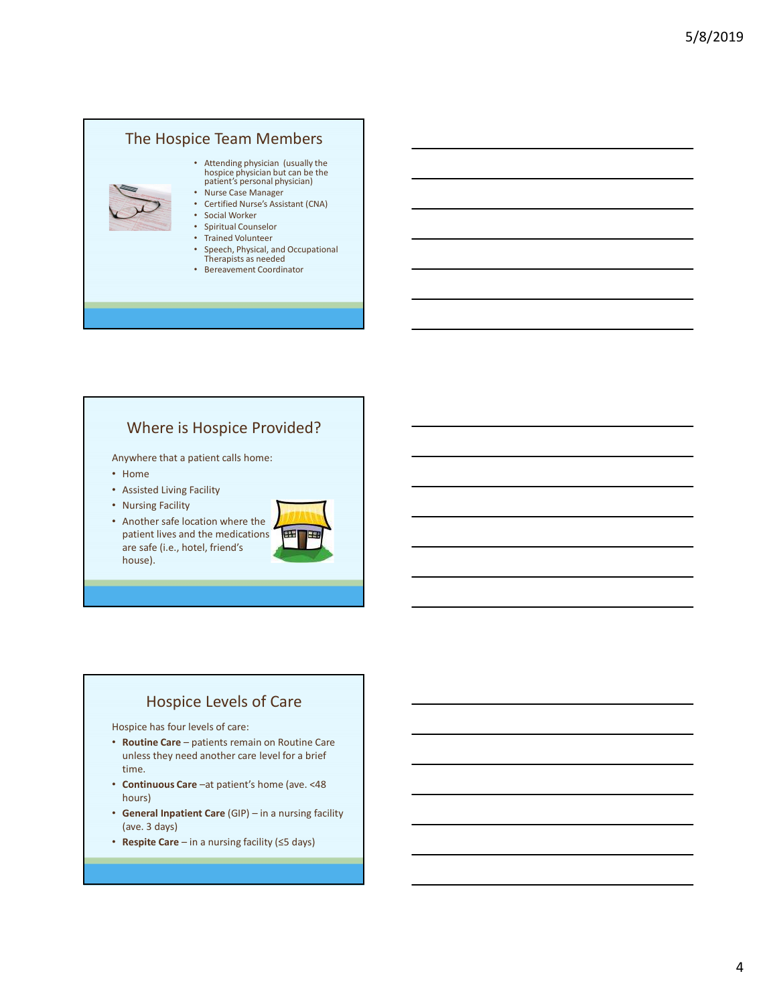# The Hospice Team Members • Attending physician (usually the hospice physician but can be the patient's personal physician)

- Nurse Case Manager • Certified Nurse's Assistant (CNA)
- Social Worker
- Spiritual Counselor
- Trained Volunteer
- Speech, Physical, and Occupational Therapists as needed
- Bereavement Coordinator

#### Where is Hospice Provided?

Anywhere that a patient calls home:

- Home
- Assisted Living Facility
- Nursing Facility
- Another safe location where the patient lives and the medications are safe (i.e., hotel, friend's house). Where is Hospice Provided?<br>
• Home<br>
• Assisted Living Facility<br>
• Aussing Facility<br>
• Nursing Facility<br>
• Pather sale Calcon where the<br> *pather* and the mediations<br>
are safe (i.e., hotel, friend's<br> **EVALUATE:**<br> **EVALUATE:** • Ansisted Living Facility<br>• Aurather Safe Location where the<br>• Another safe (i.e., hotel, friend's<br>patient lives and the medications<br>house).<br>• house).<br>• Hospice Levels of Care<br>• Hospice has four levels of care:<br>• **Fourthe** • Another sale location where the<br>  $\overline{r}$  Another Stels Coston where the<br>
are safe (i.e., hotel, friend's<br>
are safe (i.e., hotel, friend's<br>
Hotspice Levels of Care<br>
Hotspice are -<br>
Hotspice Levels of Care<br>
Hotspice are: • Rushing results<br>
• Another stafe location where the<br>
patient lives and the medications<br>
are safe (i.e., hotel, friend's<br>
are safe (i.e., hotel, friend's<br>
Hospice Levels of Care<br>
<br>
Hospice and the medications<br>
+ Routine C



#### Hospice Levels of Care

Hospice has four levels of care:

- unless they need another care level for a brief time.
- hours)
- 
-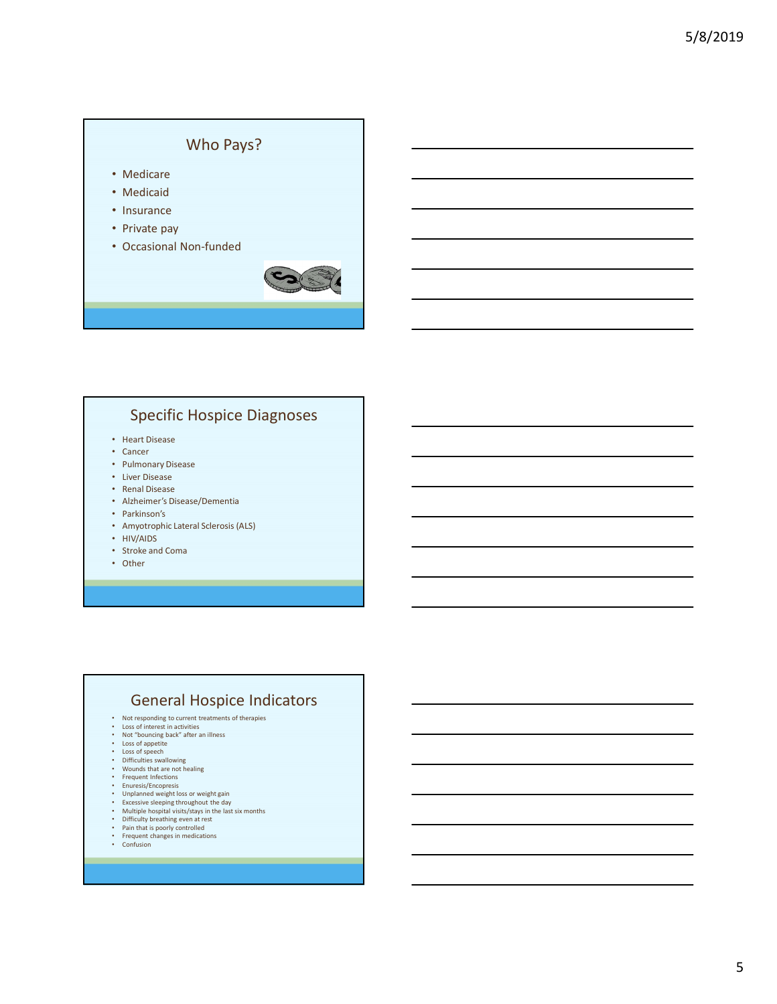#### Who Pays?

- Medicare
- Medicaid
- Insurance
- Private pay
- Occasional Non-funded



#### Specific Hospice Diagnoses

- Heart Disease
- Cancer
- Pulmonary Disease
- Liver Disease
- Renal Disease
- Alzheimer's Disease/Dementia
- Parkinson's
- Amyotrophic Lateral Sclerosis (ALS)
- HIV/AIDS
- Stroke and Coma
- Other

#### General Hospice Indicators

- Not responding to current treatments of therapies Loss of interest in activities
- 
- Not "bouncing back" after an illness Loss of appetite
- 
- Loss of speech Difficulties swallowing
- Wounds that are not healing<br>• Frequent Infections
- 
- 
- 
- Frequent Infections<br>• Unplanned weight loss or weight gain<br>• Unplanned weight loss or weight gain<br>• Excessive sleeping throughout the day<br>• Multiple hospital visits/stays in the last six months<br>• Difficulty breathing eve
- 
- 
-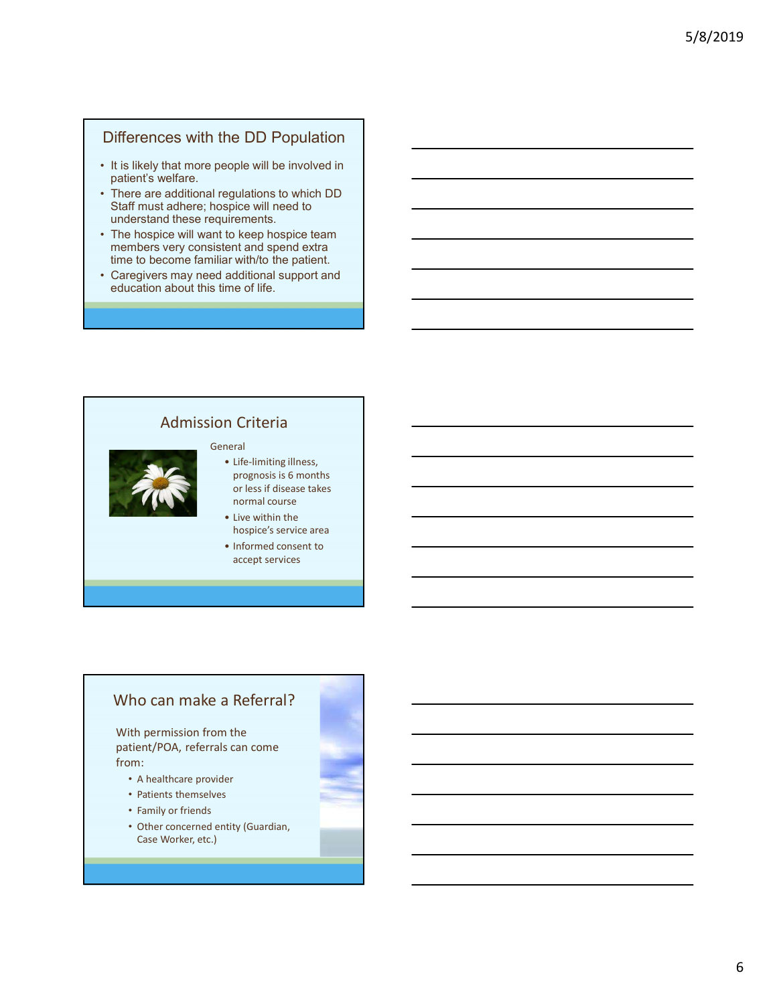#### Differences with the DD Population

- patient's welfare.
- Differences with the DD Population<br>• It is likely that more people will be involved in<br>patients' welfare.<br>• There are additional regulations to which DD<br>• Staff must adhere; hospice will need to<br>• The hospice will want to Differences with the DD Population<br>• It is likely that more people will be involved in<br>patient's welfare.<br>• There are additional regulations to which DD<br>Staff must adhere; hospice will meed to<br>• The hospice will want to ke Staff must adhere; hospice will need to understand these requirements. Differences with the DD Population<br>• It is likely that more people will be involved in<br>• There are additional regulations to which DD<br>• There are additional regulations to which DD<br>• Staff must adhere; hospice will need to Differences with the DD Population<br>• It is likely that more people will be involved in<br>patient's welfare.<br>• There are additional regulations to which DD<br>• Staff must adhere; hospice will need to<br>understand these requiremen
- The hospice will want to keep hospice team<br>members very consistent and spend extra time to become familiar with/to the patient.
- education about this time of life.

#### Admission Criteria

#### General



- exple will be involved in<br>spiglations to which DD<br>pipe-will need to<br>discusse the content of the discussed central aspect seam<br>ent and spend extra<br>arith/to the patient.<br>additional support and<br>me of life.<br>Content of the cont prognosis is 6 months or less if disease takes normal course Figure will need to<br>
Income the phospice team<br>
ent and spend extra<br>
and diffuotion and spend extra<br>
and diffuotion and proportion<br>
and diffuotion and proportion<br>
<br> **Proposition**<br> **Proposition**<br> **Proposition**<br> **Proposition** to keep hospice team<br>
and spend extra<br>
ar with/to the patient.<br>
additional support and<br>
me of life.<br>
<br>
• Life-limiting illness,<br>
prognosis is 6 months<br>
or ness if disease takes<br>
or ness if disease takes<br>
to hospice service
- hospice's service area
- accept services

#### Who can make a Referral?

With permission from the patient/POA, referrals can come from:

- A healthcare provider
- Patients themselves
- Family or friends
- Other concerned entity (Guardian, Case Worker, etc.)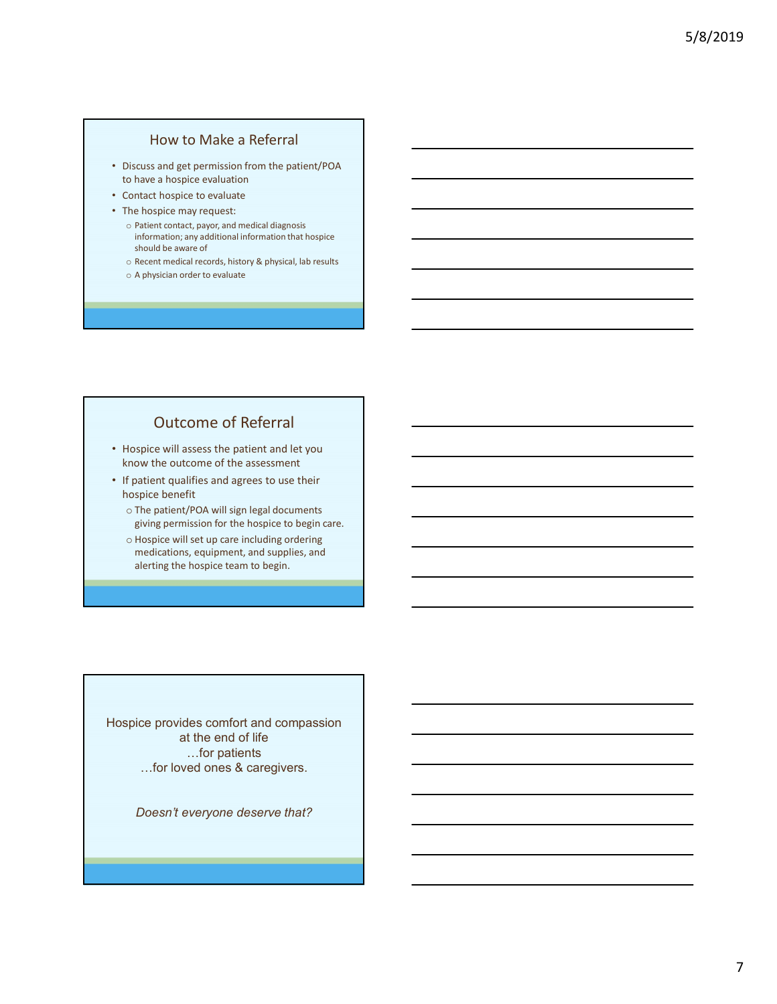#### How to Make a Referral

- Discuss and get permission from the patient/POA to have a hospice evaluation
- Contact hospice to evaluate
- The hospice may request:
	- o Patient contact, payor, and medical diagnosis information; any additional information that hospice should be aware of
	- o Recent medical records, history & physical, lab results
	- o A physician order to evaluate

## Outcome of Referral

- Hospice will assess the patient and let you know the outcome of the assessment
- If patient qualifies and agrees to use their hospice benefit
	- o The patient/POA will sign legal documents giving permission for the hospice to begin care.
	- o Hospice will set up care including ordering medications, equipment, and supplies, and alerting the hospice team to begin.

Hospice provides comfort and compassion at the end of life …for patients …for loved ones & caregivers.

Doesn't everyone deserve that?